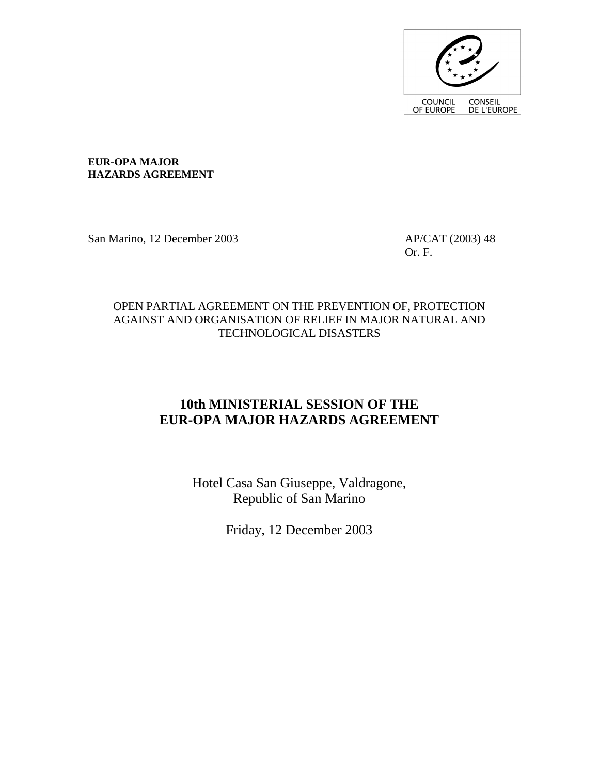

**EUR-OPA MAJOR HAZARDS AGREEMENT** 

San Marino, 12 December 2003 AP/CAT (2003) 48

Or. F.

## OPEN PARTIAL AGREEMENT ON THE PREVENTION OF, PROTECTION AGAINST AND ORGANISATION OF RELIEF IN MAJOR NATURAL AND TECHNOLOGICAL DISASTERS

# **10th MINISTERIAL SESSION OF THE EUR-OPA MAJOR HAZARDS AGREEMENT**

Hotel Casa San Giuseppe, Valdragone, Republic of San Marino

Friday, 12 December 2003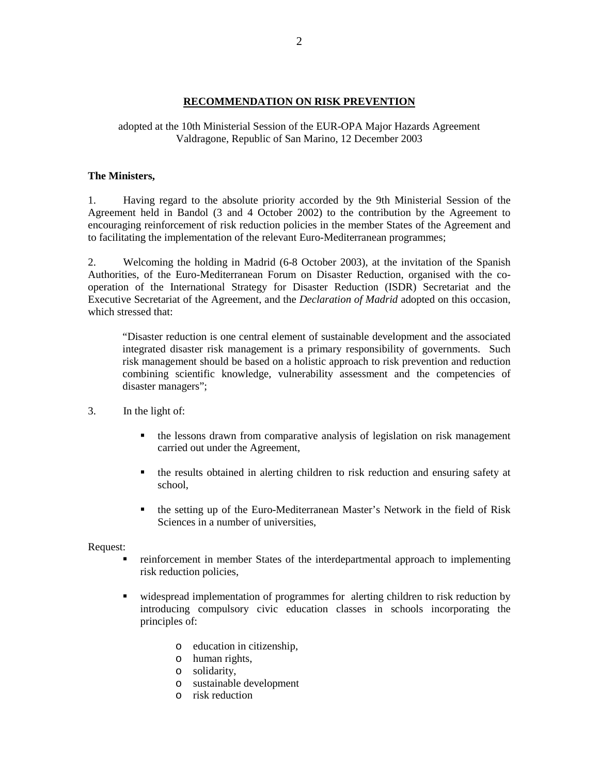### **RECOMMENDATION ON RISK PREVENTION**

adopted at the 10th Ministerial Session of the EUR-OPA Major Hazards Agreement Valdragone, Republic of San Marino, 12 December 2003

### **The Ministers,**

1. Having regard to the absolute priority accorded by the 9th Ministerial Session of the Agreement held in Bandol (3 and 4 October 2002) to the contribution by the Agreement to encouraging reinforcement of risk reduction policies in the member States of the Agreement and to facilitating the implementation of the relevant Euro-Mediterranean programmes;

2. Welcoming the holding in Madrid (6-8 October 2003), at the invitation of the Spanish Authorities, of the Euro-Mediterranean Forum on Disaster Reduction, organised with the cooperation of the International Strategy for Disaster Reduction (ISDR) Secretariat and the Executive Secretariat of the Agreement, and the *Declaration of Madrid* adopted on this occasion, which stressed that:

"Disaster reduction is one central element of sustainable development and the associated integrated disaster risk management is a primary responsibility of governments. Such risk management should be based on a holistic approach to risk prevention and reduction combining scientific knowledge, vulnerability assessment and the competencies of disaster managers";

- 3. In the light of:
	- the lessons drawn from comparative analysis of legislation on risk management carried out under the Agreement,
	- the results obtained in alerting children to risk reduction and ensuring safety at school,
	- the setting up of the Euro-Mediterranean Master's Network in the field of Risk Sciences in a number of universities,

#### Request:

- reinforcement in member States of the interdepartmental approach to implementing risk reduction policies,
- widespread implementation of programmes for alerting children to risk reduction by introducing compulsory civic education classes in schools incorporating the principles of:
	- o education in citizenship,
	- o human rights,
	- o solidarity,
	- o sustainable development
	- o risk reduction